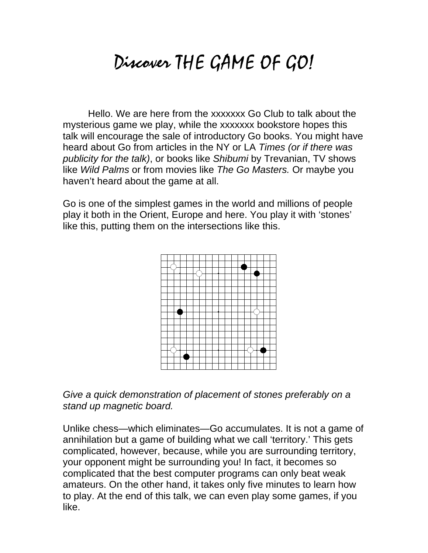# Discover THE GAME OF GO!

Hello. We are here from the xxxxxxx Go Club to talk about the mysterious game we play, while the xxxxxxx bookstore hopes this talk will encourage the sale of introductory Go books. You might have heard about Go from articles in the NY or LA *Times (or if there was publicity for the talk)*, or books like *Shibumi* by Trevanian, TV shows like *Wild Palms* or from movies like *The Go Masters.* Or maybe you haven't heard about the game at all.

Go is one of the simplest games in the world and millions of people play it both in the Orient, Europe and here. You play it with 'stones' like this, putting them on the intersections like this.



*Give a quick demonstration of placement of stones preferably on a stand up magnetic board.*

Unlike chess—which eliminates—Go accumulates. It is not a game of annihilation but a game of building what we call 'territory.' This gets complicated, however, because, while you are surrounding territory, your opponent might be surrounding you! In fact, it becomes so complicated that the best computer programs can only beat weak amateurs. On the other hand, it takes only five minutes to learn how to play. At the end of this talk, we can even play some games, if you like.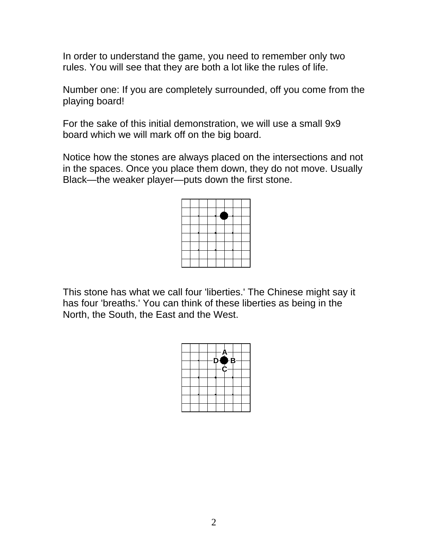In order to understand the game, you need to remember only two rules. You will see that they are both a lot like the rules of life.

Number one: If you are completely surrounded, off you come from the playing board!

For the sake of this initial demonstration, we will use a small 9x9 board which we will mark off on the big board.

Notice how the stones are always placed on the intersections and not in the spaces. Once you place them down, they do not move. Usually Black—the weaker player—puts down the first stone.

This stone has what we call four 'liberties.' The Chinese might say it has four 'breaths.' You can think of these liberties as being in the North, the South, the East and the West.

|  |  | $D \bigoplus B$ | $A^{-}$ |  |
|--|--|-----------------|---------|--|
|  |  |                 | −C−     |  |
|  |  |                 |         |  |
|  |  |                 |         |  |
|  |  |                 |         |  |
|  |  |                 |         |  |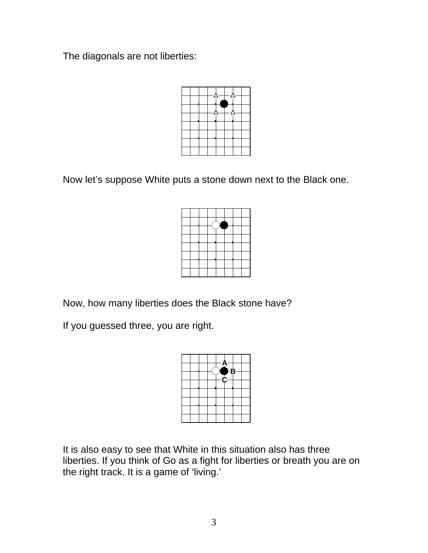The diagonals are not liberties:



Now let's suppose White puts a stone down next to the Black one.

Now, how many liberties does the Black stone have?

If you guessed three, you are right.



It is also easy to see that White in this situation also has three liberties. If you think of Go as a fight for liberties or breath you are on the right track. It is a game of 'living.'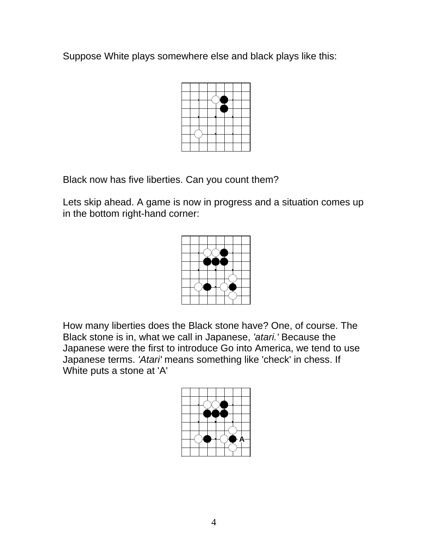Suppose White plays somewhere else and black plays like this:



Black now has five liberties. Can you count them?

Lets skip ahead. A game is now in progress and a situation comes up in the bottom right-hand corner:



How many liberties does the Black stone have? One, of course. The Black stone is in, what we call in Japanese, *'atari.'* Because the Japanese were the first to introduce Go into America, we tend to use Japanese terms. *'Atari'* means something like 'check' in chess. If White puts a stone at 'A'

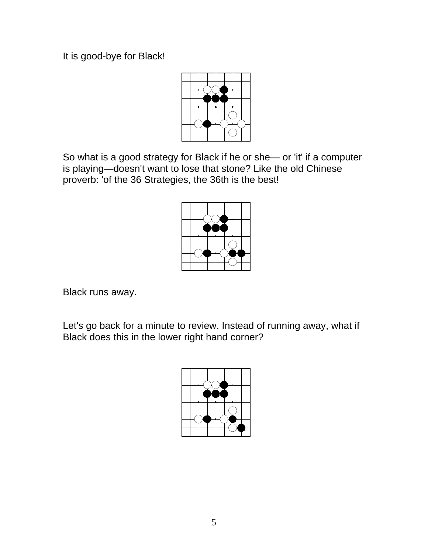It is good-bye for Black!



So what is a good strategy for Black if he or she— or 'it' if a computer is playing—doesn't want to lose that stone? Like the old Chinese proverb: 'of the 36 Strategies, the 36th is the best!



Black runs away.

Let's go back for a minute to review. Instead of running away, what if Black does this in the lower right hand corner?

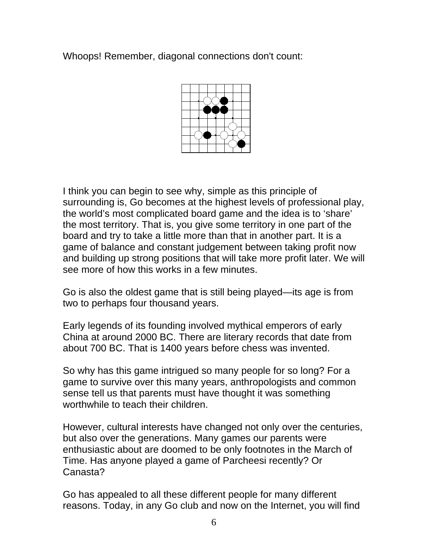Whoops! Remember, diagonal connections don't count:



I think you can begin to see why, simple as this principle of surrounding is, Go becomes at the highest levels of professional play, the world's most complicated board game and the idea is to 'share' the most territory. That is, you give some territory in one part of the board and try to take a little more than that in another part. It is a game of balance and constant judgement between taking profit now and building up strong positions that will take more profit later. We will see more of how this works in a few minutes.

Go is also the oldest game that is still being played—its age is from two to perhaps four thousand years.

Early legends of its founding involved mythical emperors of early China at around 2000 BC. There are literary records that date from about 700 BC. That is 1400 years before chess was invented.

So why has this game intrigued so many people for so long? For a game to survive over this many years, anthropologists and common sense tell us that parents must have thought it was something worthwhile to teach their children.

However, cultural interests have changed not only over the centuries, but also over the generations. Many games our parents were enthusiastic about are doomed to be only footnotes in the March of Time. Has anyone played a game of Parcheesi recently? Or Canasta?

Go has appealed to all these different people for many different reasons. Today, in any Go club and now on the Internet, you will find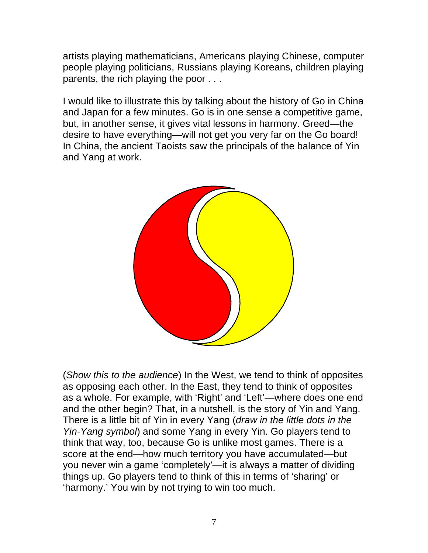artists playing mathematicians, Americans playing Chinese, computer people playing politicians, Russians playing Koreans, children playing parents, the rich playing the poor . . .

I would like to illustrate this by talking about the history of Go in China and Japan for a few minutes. Go is in one sense a competitive game, but, in another sense, it gives vital lessons in harmony. Greed—the desire to have everything—will not get you very far on the Go board! In China, the ancient Taoists saw the principals of the balance of Yin and Yang at work.



(*Show this to the audience*) In the West, we tend to think of opposites as opposing each other. In the East, they tend to think of opposites as a whole. For example, with 'Right' and 'Left'—where does one end and the other begin? That, in a nutshell, is the story of Yin and Yang. There is a little bit of Yin in every Yang (*draw in the little dots in the Yin-Yang symbol*) and some Yang in every Yin. Go players tend to think that way, too, because Go is unlike most games. There is a score at the end—how much territory you have accumulated—but you never win a game 'completely'—it is always a matter of dividing things up. Go players tend to think of this in terms of 'sharing' or 'harmony.' You win by not trying to win too much.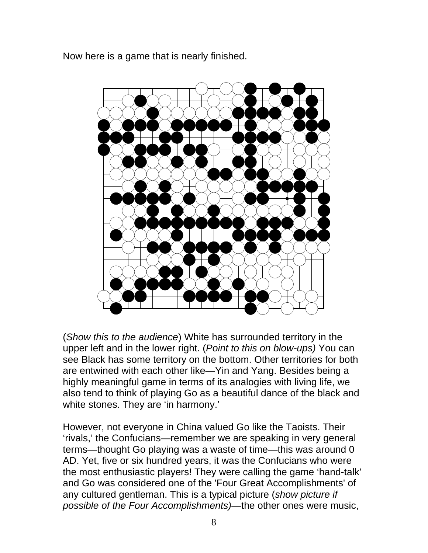Now here is a game that is nearly finished.



(*Show this to the audience*) White has surrounded territory in the upper left and in the lower right. (*Point to this on blow-ups)* You can see Black has some territory on the bottom. Other territories for both are entwined with each other like—Yin and Yang. Besides being a highly meaningful game in terms of its analogies with living life, we also tend to think of playing Go as a beautiful dance of the black and white stones. They are 'in harmony.'

However, not everyone in China valued Go like the Taoists. Their 'rivals,' the Confucians—remember we are speaking in very general terms—thought Go playing was a waste of time—this was around 0 AD. Yet, five or six hundred years, it was the Confucians who were the most enthusiastic players! They were calling the game 'hand-talk' and Go was considered one of the 'Four Great Accomplishments' of any cultured gentleman. This is a typical picture (*show picture if possible of the Four Accomplishments)—*the other ones were music,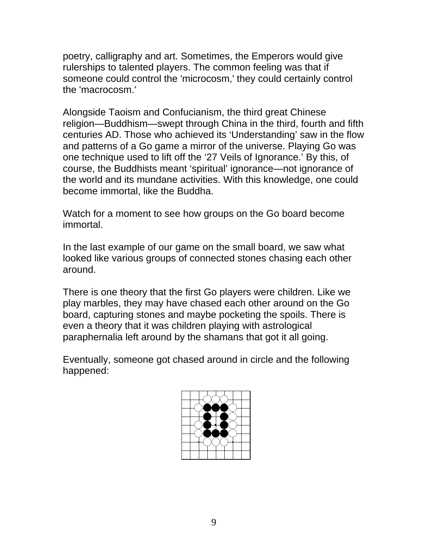poetry, calligraphy and art. Sometimes, the Emperors would give rulerships to talented players. The common feeling was that if someone could control the 'microcosm,' they could certainly control the 'macrocosm.'

Alongside Taoism and Confucianism, the third great Chinese religion—Buddhism—swept through China in the third, fourth and fifth centuries AD. Those who achieved its 'Understanding' saw in the flow and patterns of a Go game a mirror of the universe. Playing Go was one technique used to lift off the '27 Veils of Ignorance.' By this, of course, the Buddhists meant 'spiritual' ignorance—not ignorance of the world and its mundane activities. With this knowledge, one could become immortal, like the Buddha.

Watch for a moment to see how groups on the Go board become immortal.

In the last example of our game on the small board, we saw what looked like various groups of connected stones chasing each other around.

There is one theory that the first Go players were children. Like we play marbles, they may have chased each other around on the Go board, capturing stones and maybe pocketing the spoils. There is even a theory that it was children playing with astrological paraphernalia left around by the shamans that got it all going.

Eventually, someone got chased around in circle and the following happened:

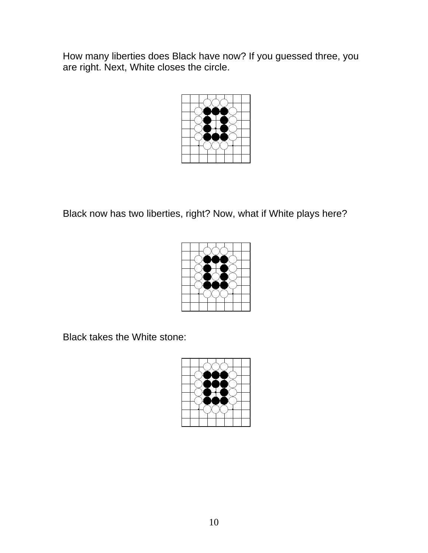How many liberties does Black have now? If you guessed three, you are right. Next, White closes the circle.



Black now has two liberties, right? Now, what if White plays here?



Black takes the White stone:

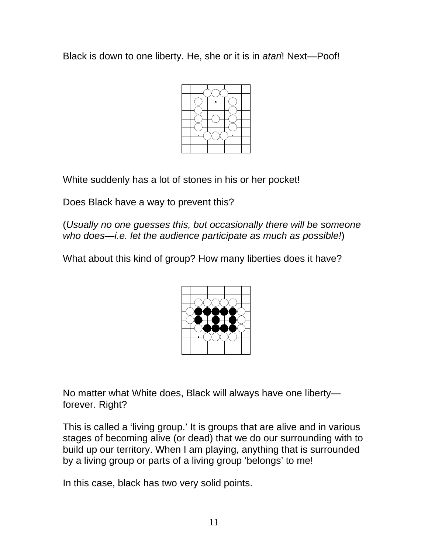Black is down to one liberty. He, she or it is in *atari*! Next—Poof!



White suddenly has a lot of stones in his or her pocket!

Does Black have a way to prevent this?

(*Usually no one guesses this, but occasionally there will be someone who does—i.e. let the audience participate as much as possible!*)

What about this kind of group? How many liberties does it have?



No matter what White does, Black will always have one liberty forever. Right?

This is called a 'living group.' It is groups that are alive and in various stages of becoming alive (or dead) that we do our surrounding with to build up our territory. When I am playing, anything that is surrounded by a living group or parts of a living group 'belongs' to me!

In this case, black has two very solid points.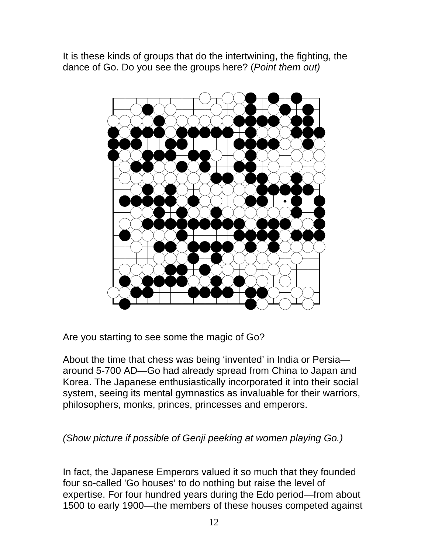It is these kinds of groups that do the intertwining, the fighting, the dance of Go. Do you see the groups here? (*Point them out)*



Are you starting to see some the magic of Go?

About the time that chess was being 'invented' in India or Persia around 5-700 AD—Go had already spread from China to Japan and Korea. The Japanese enthusiastically incorporated it into their social system, seeing its mental gymnastics as invaluable for their warriors, philosophers, monks, princes, princesses and emperors.

*(Show picture if possible of Genji peeking at women playing Go.)*

In fact, the Japanese Emperors valued it so much that they founded four so-called 'Go houses' to do nothing but raise the level of expertise. For four hundred years during the Edo period—from about 1500 to early 1900—the members of these houses competed against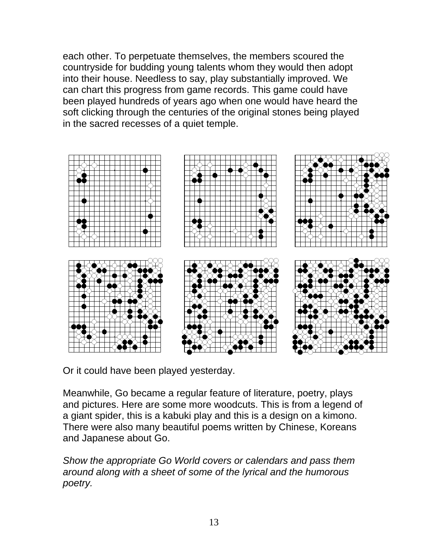each other. To perpetuate themselves, the members scoured the countryside for budding young talents whom they would then adopt into their house. Needless to say, play substantially improved. We can chart this progress from game records. This game could have been played hundreds of years ago when one would have heard the soft clicking through the centuries of the original stones being played in the sacred recesses of a quiet temple.



Or it could have been played yesterday.

Meanwhile, Go became a regular feature of literature, poetry, plays and pictures. Here are some more woodcuts. This is from a legend of a giant spider, this is a kabuki play and this is a design on a kimono. There were also many beautiful poems written by Chinese, Koreans and Japanese about Go.

*Show the appropriate Go World covers or calendars and pass them around along with a sheet of some of the lyrical and the humorous poetry.*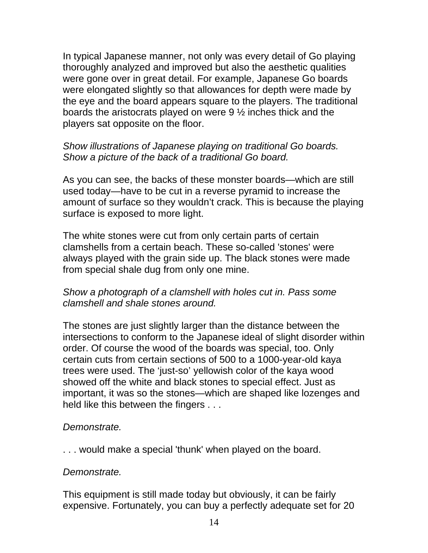In typical Japanese manner, not only was every detail of Go playing thoroughly analyzed and improved but also the aesthetic qualities were gone over in great detail. For example, Japanese Go boards were elongated slightly so that allowances for depth were made by the eye and the board appears square to the players. The traditional boards the aristocrats played on were 9 ½ inches thick and the players sat opposite on the floor.

## *Show illustrations of Japanese playing on traditional Go boards. Show a picture of the back of a traditional Go board.*

As you can see, the backs of these monster boards—which are still used today—have to be cut in a reverse pyramid to increase the amount of surface so they wouldn't crack. This is because the playing surface is exposed to more light.

The white stones were cut from only certain parts of certain clamshells from a certain beach. These so-called 'stones' were always played with the grain side up. The black stones were made from special shale dug from only one mine.

# *Show a photograph of a clamshell with holes cut in. Pass some clamshell and shale stones around.*

The stones are just slightly larger than the distance between the intersections to conform to the Japanese ideal of slight disorder within order. Of course the wood of the boards was special, too. Only certain cuts from certain sections of 500 to a 1000-year-old kaya trees were used. The 'just-so' yellowish color of the kaya wood showed off the white and black stones to special effect. Just as important, it was so the stones—which are shaped like lozenges and held like this between the fingers . . .

## *Demonstrate.*

. . . would make a special 'thunk' when played on the board.

#### *Demonstrate.*

This equipment is still made today but obviously, it can be fairly expensive. Fortunately, you can buy a perfectly adequate set for 20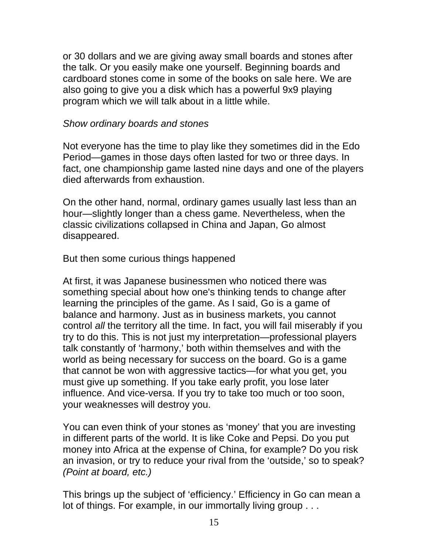or 30 dollars and we are giving away small boards and stones after the talk. Or you easily make one yourself. Beginning boards and cardboard stones come in some of the books on sale here. We are also going to give you a disk which has a powerful 9x9 playing program which we will talk about in a little while.

#### *Show ordinary boards and stones*

Not everyone has the time to play like they sometimes did in the Edo Period—games in those days often lasted for two or three days. In fact, one championship game lasted nine days and one of the players died afterwards from exhaustion.

On the other hand, normal, ordinary games usually last less than an hour—slightly longer than a chess game. Nevertheless, when the classic civilizations collapsed in China and Japan, Go almost disappeared.

But then some curious things happened

At first, it was Japanese businessmen who noticed there was something special about how one's thinking tends to change after learning the principles of the game. As I said, Go is a game of balance and harmony. Just as in business markets, you cannot control *all* the territory all the time. In fact, you will fail miserably if you try to do this. This is not just my interpretation—professional players talk constantly of 'harmony,' both within themselves and with the world as being necessary for success on the board. Go is a game that cannot be won with aggressive tactics—for what you get, you must give up something. If you take early profit, you lose later influence. And vice-versa. If you try to take too much or too soon, your weaknesses will destroy you.

You can even think of your stones as 'money' that you are investing in different parts of the world. It is like Coke and Pepsi. Do you put money into Africa at the expense of China, for example? Do you risk an invasion, or try to reduce your rival from the 'outside,' so to speak? *(Point at board, etc.)*

This brings up the subject of 'efficiency.' Efficiency in Go can mean a lot of things. For example, in our immortally living group . . .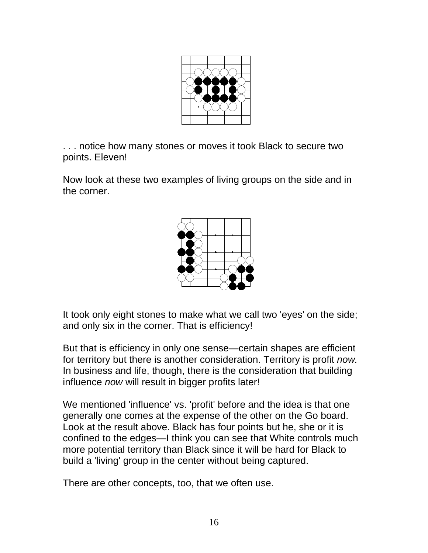

. . . notice how many stones or moves it took Black to secure two points. Eleven!

Now look at these two examples of living groups on the side and in the corner.



It took only eight stones to make what we call two 'eyes' on the side; and only six in the corner. That is efficiency!

But that is efficiency in only one sense—certain shapes are efficient for territory but there is another consideration. Territory is profit *now.* In business and life, though, there is the consideration that building influence *now* will result in bigger profits later!

We mentioned 'influence' vs. 'profit' before and the idea is that one generally one comes at the expense of the other on the Go board. Look at the result above. Black has four points but he, she or it is confined to the edges—I think you can see that White controls much more potential territory than Black since it will be hard for Black to build a 'living' group in the center without being captured.

There are other concepts, too, that we often use.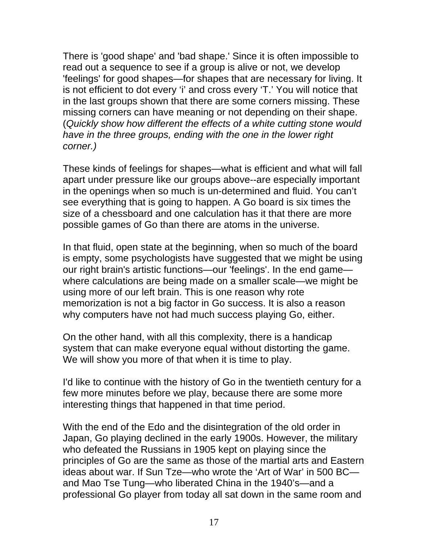There is 'good shape' and 'bad shape.' Since it is often impossible to read out a sequence to see if a group is alive or not, we develop 'feelings' for good shapes—for shapes that are necessary for living. It is not efficient to dot every 'i' and cross every 'T.' You will notice that in the last groups shown that there are some corners missing. These missing corners can have meaning or not depending on their shape. (*Quickly show how different the effects of a white cutting stone would have in the three groups, ending with the one in the lower right corner.)*

These kinds of feelings for shapes—what is efficient and what will fall apart under pressure like our groups above--are especially important in the openings when so much is un-determined and fluid. You can't see everything that is going to happen. A Go board is six times the size of a chessboard and one calculation has it that there are more possible games of Go than there are atoms in the universe.

In that fluid, open state at the beginning, when so much of the board is empty, some psychologists have suggested that we might be using our right brain's artistic functions—our 'feelings'. In the end game where calculations are being made on a smaller scale—we might be using more of our left brain. This is one reason why rote memorization is not a big factor in Go success. It is also a reason why computers have not had much success playing Go, either.

On the other hand, with all this complexity, there is a handicap system that can make everyone equal without distorting the game. We will show you more of that when it is time to play.

I'd like to continue with the history of Go in the twentieth century for a few more minutes before we play, because there are some more interesting things that happened in that time period.

With the end of the Edo and the disintegration of the old order in Japan, Go playing declined in the early 1900s. However, the military who defeated the Russians in 1905 kept on playing since the principles of Go are the same as those of the martial arts and Eastern ideas about war. If Sun Tze—who wrote the 'Art of War' in 500 BC and Mao Tse Tung—who liberated China in the 1940's—and a professional Go player from today all sat down in the same room and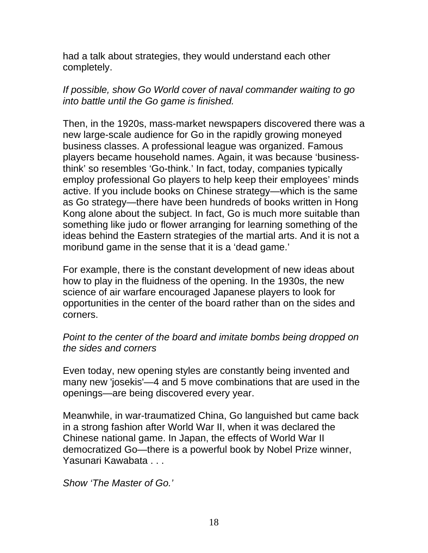had a talk about strategies, they would understand each other completely.

# *If possible, show Go World cover of naval commander waiting to go into battle until the Go game is finished.*

Then, in the 1920s, mass-market newspapers discovered there was a new large-scale audience for Go in the rapidly growing moneyed business classes. A professional league was organized. Famous players became household names. Again, it was because 'businessthink' so resembles 'Go-think.' In fact, today, companies typically employ professional Go players to help keep their employees' minds active. If you include books on Chinese strategy—which is the same as Go strategy—there have been hundreds of books written in Hong Kong alone about the subject. In fact, Go is much more suitable than something like judo or flower arranging for learning something of the ideas behind the Eastern strategies of the martial arts. And it is not a moribund game in the sense that it is a 'dead game.'

For example, there is the constant development of new ideas about how to play in the fluidness of the opening. In the 1930s, the new science of air warfare encouraged Japanese players to look for opportunities in the center of the board rather than on the sides and corners.

# *Point to the center of the board and imitate bombs being dropped on the sides and corners*

Even today, new opening styles are constantly being invented and many new 'josekis'—4 and 5 move combinations that are used in the openings—are being discovered every year.

Meanwhile, in war-traumatized China, Go languished but came back in a strong fashion after World War II, when it was declared the Chinese national game. In Japan, the effects of World War II democratized Go—there is a powerful book by Nobel Prize winner, Yasunari Kawabata . . .

*Show 'The Master of Go.'*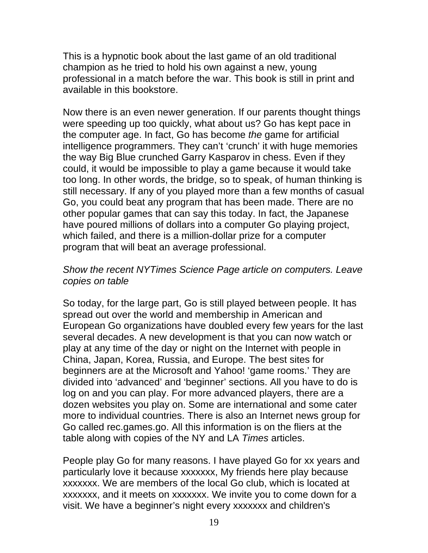This is a hypnotic book about the last game of an old traditional champion as he tried to hold his own against a new, young professional in a match before the war. This book is still in print and available in this bookstore.

Now there is an even newer generation. If our parents thought things were speeding up too quickly, what about us? Go has kept pace in the computer age. In fact, Go has become *the* game for artificial intelligence programmers. They can't 'crunch' it with huge memories the way Big Blue crunched Garry Kasparov in chess. Even if they could, it would be impossible to play a game because it would take too long. In other words, the bridge, so to speak, of human thinking is still necessary. If any of you played more than a few months of casual Go, you could beat any program that has been made. There are no other popular games that can say this today. In fact, the Japanese have poured millions of dollars into a computer Go playing project, which failed, and there is a million-dollar prize for a computer program that will beat an average professional.

## *Show the recent NYTimes Science Page article on computers. Leave copies on table*

So today, for the large part, Go is still played between people. It has spread out over the world and membership in American and European Go organizations have doubled every few years for the last several decades. A new development is that you can now watch or play at any time of the day or night on the Internet with people in China, Japan, Korea, Russia, and Europe. The best sites for beginners are at the Microsoft and Yahoo! 'game rooms.' They are divided into 'advanced' and 'beginner' sections. All you have to do is log on and you can play. For more advanced players, there are a dozen websites you play on. Some are international and some cater more to individual countries. There is also an Internet news group for Go called rec.games.go. All this information is on the fliers at the table along with copies of the NY and LA *Times* articles.

People play Go for many reasons. I have played Go for xx years and particularly love it because xxxxxxx, My friends here play because xxxxxxx. We are members of the local Go club, which is located at xxxxxxx, and it meets on xxxxxxx. We invite you to come down for a visit. We have a beginner's night every xxxxxxx and children's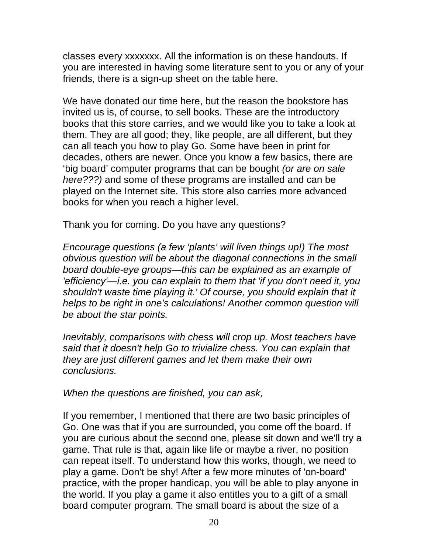classes every xxxxxxx. All the information is on these handouts. If you are interested in having some literature sent to you or any of your friends, there is a sign-up sheet on the table here.

We have donated our time here, but the reason the bookstore has invited us is, of course, to sell books. These are the introductory books that this store carries, and we would like you to take a look at them. They are all good; they, like people, are all different, but they can all teach you how to play Go. Some have been in print for decades, others are newer. Once you know a few basics, there are 'big board' computer programs that can be bought *(or are on sale here???)* and some of these programs are installed and can be played on the Internet site. This store also carries more advanced books for when you reach a higher level.

Thank you for coming. Do you have any questions?

*Encourage questions (a few 'plants' will liven things up!) The most obvious question will be about the diagonal connections in the small board double-eye groups—this can be explained as an example of 'efficiency'—i.e. you can explain to them that 'if you don't need it, you shouldn't waste time playing it.' Of course, you should explain that it helps to be right in one's calculations! Another common question will be about the star points.*

*Inevitably, comparisons with chess will crop up. Most teachers have said that it doesn't help Go to trivialize chess. You can explain that they are just different games and let them make their own conclusions.*

*When the questions are finished, you can ask,*

If you remember, I mentioned that there are two basic principles of Go. One was that if you are surrounded, you come off the board. If you are curious about the second one, please sit down and we'll try a game. That rule is that, again like life or maybe a river, no position can repeat itself. To understand how this works, though, we need to play a game. Don't be shy! After a few more minutes of 'on-board' practice, with the proper handicap, you will be able to play anyone in the world. If you play a game it also entitles you to a gift of a small board computer program. The small board is about the size of a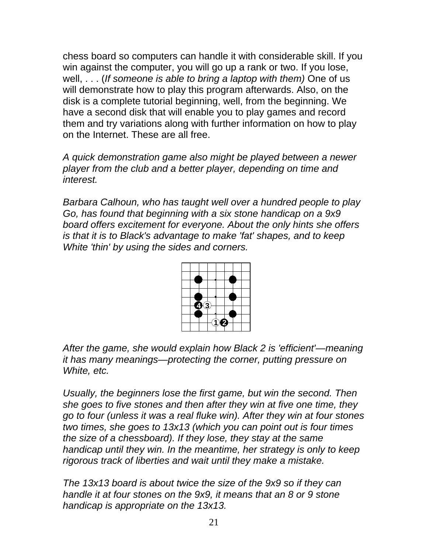chess board so computers can handle it with considerable skill. If you win against the computer, you will go up a rank or two. If you lose, well, . . . (*If someone is able to bring a laptop with them)* One of us will demonstrate how to play this program afterwards. Also, on the disk is a complete tutorial beginning, well, from the beginning. We have a second disk that will enable you to play games and record them and try variations along with further information on how to play on the Internet. These are all free.

*A quick demonstration game also might be played between a newer player from the club and a better player, depending on time and interest.*

*Barbara Calhoun, who has taught well over a hundred people to play Go, has found that beginning with a six stone handicap on a 9x9 board offers excitement for everyone. About the only hints she offers is that it is to Black's advantage to make 'fat' shapes, and to keep White 'thin' by using the sides and corners.* 



*After the game, she would explain how Black 2 is 'efficient'—meaning it has many meanings—protecting the corner, putting pressure on White, etc.* 

*Usually, the beginners lose the first game, but win the second. Then she goes to five stones and then after they win at five one time, they go to four (unless it was a real fluke win). After they win at four stones two times, she goes to 13x13 (which you can point out is four times the size of a chessboard). If they lose, they stay at the same handicap until they win. In the meantime, her strategy is only to keep rigorous track of liberties and wait until they make a mistake.*

*The 13x13 board is about twice the size of the 9x9 so if they can handle it at four stones on the 9x9, it means that an 8 or 9 stone handicap is appropriate on the 13x13.*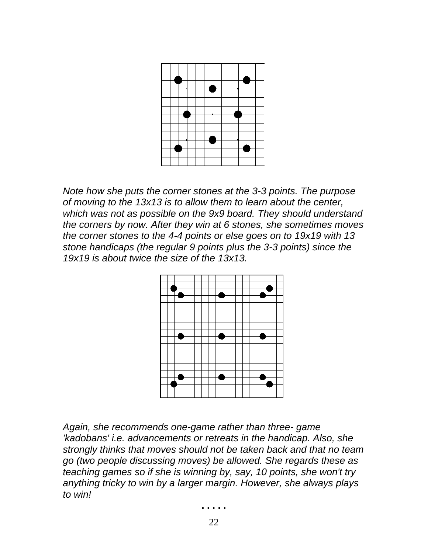

*Note how she puts the corner stones at the 3-3 points. The purpose of moving to the 13x13 is to allow them to learn about the center, which was not as possible on the 9x9 board. They should understand the corners by now. After they win at 6 stones, she sometimes moves the corner stones to the 4-4 points or else goes on to 19x19 with 13 stone handicaps (the regular 9 points plus the 3-3 points) since the 19x19 is about twice the size of the 13x13.* 



*Again, she recommends one-game rather than three- game 'kadobans' i.e. advancements or retreats in the handicap. Also, she strongly thinks that moves should not be taken back and that no team go (two people discussing moves) be allowed. She regards these as teaching games so if she is winning by, say, 10 points, she won't try anything tricky to win by a larger margin. However, she always plays to win!*